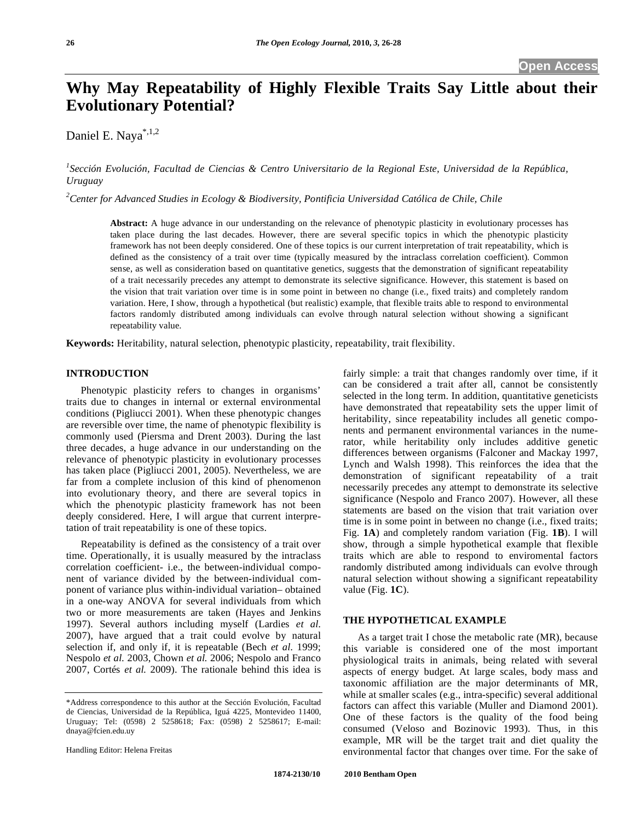# **Why May Repeatability of Highly Flexible Traits Say Little about their Evolutionary Potential?**

Daniel E. Naya\*,1,2

<sup>1</sup> Sección Evolución, Facultad de Ciencias & Centro Universitario de la Regional Este, Universidad de la República, *Uruguay* 

*2 Center for Advanced Studies in Ecology & Biodiversity, Pontificia Universidad Católica de Chile, Chile* 

**Abstract:** A huge advance in our understanding on the relevance of phenotypic plasticity in evolutionary processes has taken place during the last decades. However, there are several specific topics in which the phenotypic plasticity framework has not been deeply considered. One of these topics is our current interpretation of trait repeatability, which is defined as the consistency of a trait over time (typically measured by the intraclass correlation coefficient). Common sense, as well as consideration based on quantitative genetics, suggests that the demonstration of significant repeatability of a trait necessarily precedes any attempt to demonstrate its selective significance. However, this statement is based on the vision that trait variation over time is in some point in between no change (i.e., fixed traits) and completely random variation. Here, I show, through a hypothetical (but realistic) example, that flexible traits able to respond to environmental factors randomly distributed among individuals can evolve through natural selection without showing a significant repeatability value.

**Keywords:** Heritability, natural selection, phenotypic plasticity, repeatability, trait flexibility.

# **INTRODUCTION**

 Phenotypic plasticity refers to changes in organisms' traits due to changes in internal or external environmental conditions (Pigliucci 2001). When these phenotypic changes are reversible over time, the name of phenotypic flexibility is commonly used (Piersma and Drent 2003). During the last three decades, a huge advance in our understanding on the relevance of phenotypic plasticity in evolutionary processes has taken place (Pigliucci 2001, 2005). Nevertheless, we are far from a complete inclusion of this kind of phenomenon into evolutionary theory, and there are several topics in which the phenotypic plasticity framework has not been deeply considered. Here, I will argue that current interpretation of trait repeatability is one of these topics.

 Repeatability is defined as the consistency of a trait over time. Operationally, it is usually measured by the intraclass correlation coefficient- i.e., the between-individual component of variance divided by the between-individual component of variance plus within-individual variation– obtained in a one-way ANOVA for several individuals from which two or more measurements are taken (Hayes and Jenkins 1997). Several authors including myself (Lardies *et al.* 2007), have argued that a trait could evolve by natural selection if, and only if, it is repeatable (Bech *et al.* 1999; Nespolo *et al.* 2003, Chown *et al.* 2006; Nespolo and Franco 2007, Cortés *et al.* 2009). The rationale behind this idea is

Handling Editor: Helena Freitas

fairly simple: a trait that changes randomly over time, if it can be considered a trait after all, cannot be consistently selected in the long term. In addition, quantitative geneticists have demonstrated that repeatability sets the upper limit of heritability, since repeatability includes all genetic components and permanent environmental variances in the numerator, while heritability only includes additive genetic differences between organisms (Falconer and Mackay 1997, Lynch and Walsh 1998). This reinforces the idea that the demonstration of significant repeatability of a trait necessarily precedes any attempt to demonstrate its selective significance (Nespolo and Franco 2007). However, all these statements are based on the vision that trait variation over time is in some point in between no change (i.e., fixed traits; Fig. **1A**) and completely random variation (Fig. **1B**). I will show, through a simple hypothetical example that flexible traits which are able to respond to enviromental factors randomly distributed among individuals can evolve through natural selection without showing a significant repeatability value (Fig. **1C**).

#### **THE HYPOTHETICAL EXAMPLE**

 As a target trait I chose the metabolic rate (MR), because this variable is considered one of the most important physiological traits in animals, being related with several aspects of energy budget. At large scales, body mass and taxonomic affiliation are the major determinants of MR, while at smaller scales (e.g., intra-specific) several additional factors can affect this variable (Muller and Diamond 2001). One of these factors is the quality of the food being consumed (Veloso and Bozinovic 1993). Thus, in this example, MR will be the target trait and diet quality the environmental factor that changes over time. For the sake of

<sup>\*</sup>Address correspondence to this author at the Sección Evolución, Facultad de Ciencias, Universidad de la República, Iguá 4225, Montevideo 11400, Uruguay; Tel: (0598) 2 5258618; Fax: (0598) 2 5258617; E-mail: dnaya@fcien.edu.uy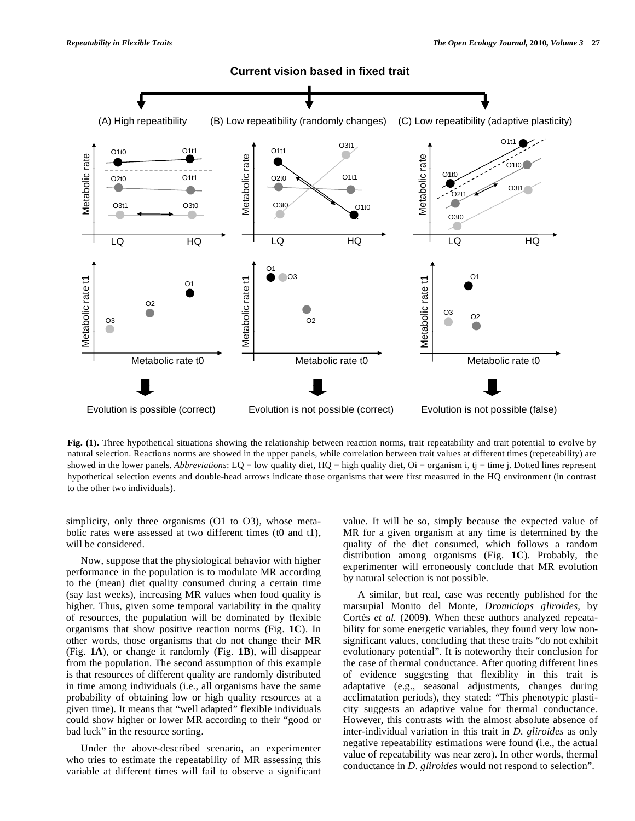

Fig. (1). Three hypothetical situations showing the relationship between reaction norms, trait repeatability and trait potential to evolve by natural selection. Reactions norms are showed in the upper panels, while correlation between trait values at different times (repeteability) are showed in the lower panels. *Abbreviations*:  $LQ = low$  quality diet,  $HQ = high$  quality diet,  $Oi = \text{organism}$  i,  $tj = time$  j. Dotted lines represent hypothetical selection events and double-head arrows indicate those organisms that were first measured in the HQ environment (in contrast to the other two individuals).

simplicity, only three organisms (O1 to O3), whose metabolic rates were assessed at two different times (t0 and t1), will be considered.

 Now, suppose that the physiological behavior with higher performance in the population is to modulate MR according to the (mean) diet quality consumed during a certain time (say last weeks), increasing MR values when food quality is higher. Thus, given some temporal variability in the quality of resources, the population will be dominated by flexible organisms that show positive reaction norms (Fig. **1C**). In other words, those organisms that do not change their MR (Fig. **1A**), or change it randomly (Fig. **1B**), will disappear from the population. The second assumption of this example is that resources of different quality are randomly distributed in time among individuals (i.e., all organisms have the same probability of obtaining low or high quality resources at a given time). It means that "well adapted" flexible individuals could show higher or lower MR according to their "good or bad luck" in the resource sorting.

 Under the above-described scenario, an experimenter who tries to estimate the repeatability of MR assessing this variable at different times will fail to observe a significant value. It will be so, simply because the expected value of MR for a given organism at any time is determined by the quality of the diet consumed, which follows a random distribution among organisms (Fig. **1C**). Probably, the experimenter will erroneously conclude that MR evolution by natural selection is not possible.

 A similar, but real, case was recently published for the marsupial Monito del Monte, *Dromiciops gliroides*, by Cortés *et al.* (2009). When these authors analyzed repeatability for some energetic variables, they found very low nonsignificant values, concluding that these traits "do not exhibit evolutionary potential". It is noteworthy their conclusion for the case of thermal conductance. After quoting different lines of evidence suggesting that flexiblity in this trait is adaptative (e.g., seasonal adjustments, changes during acclimatation periods), they stated: "This phenotypic plasticity suggests an adaptive value for thermal conductance. However, this contrasts with the almost absolute absence of inter-individual variation in this trait in *D. gliroides* as only negative repeatability estimations were found (i.e., the actual value of repeatability was near zero). In other words, thermal conductance in *D. gliroides* would not respond to selection".